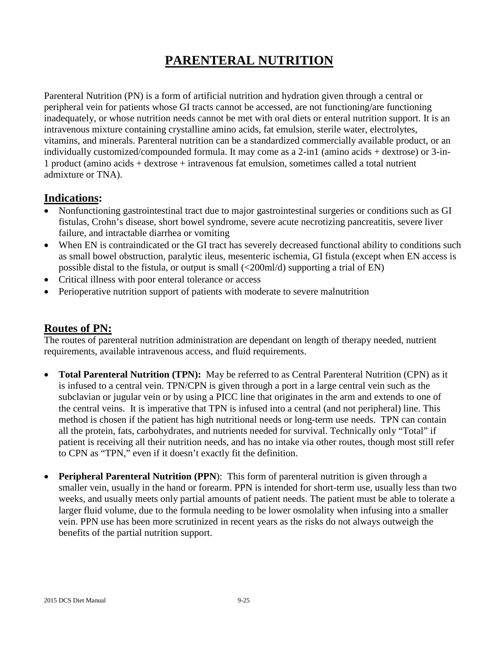# **PARENTERAL NUTRITION**

Parenteral Nutrition (PN) is a form of artificial nutrition and hydration given through a central or peripheral vein for patients whose GI tracts cannot be accessed, are not functioning/are functioning inadequately, or whose nutrition needs cannot be met with oral diets or enteral nutrition support. It is an intravenous mixture containing crystalline amino acids, fat emulsion, sterile water, electrolytes, vitamins, and minerals. Parenteral nutrition can be a standardized commercially available product, or an individually customized/compounded formula. It may come as a 2-in1 (amino acids + dextrose) or 3-in-1 product (amino acids + dextrose + intravenous fat emulsion, sometimes called a total nutrient admixture or TNA).

# **Indications:**

- Nonfunctioning gastrointestinal tract due to major gastrointestinal surgeries or conditions such as GI fistulas, Crohn's disease, short bowel syndrome, severe acute necrotizing pancreatitis, severe liver failure, and intractable diarrhea or vomiting
- When EN is contraindicated or the GI tract has severely decreased functional ability to conditions such as small bowel obstruction, paralytic ileus, mesenteric ischemia, GI fistula (except when EN access is possible distal to the fistula, or output is small (<200ml/d) supporting a trial of EN)
- Critical illness with poor enteral tolerance or access
- Perioperative nutrition support of patients with moderate to severe malnutrition

# **Routes of PN:**

The routes of parenteral nutrition administration are dependant on length of therapy needed, nutrient requirements, available intravenous access, and fluid requirements.

- **Total Parenteral Nutrition (TPN):** May be referred to as Central Parenteral Nutrition (CPN) as it is infused to a central vein. TPN/CPN is given through a port in a large central vein such as the subclavian or jugular vein or by using a PICC line that originates in the arm and extends to one of the central veins. It is imperative that TPN is infused into a central (and not peripheral) line. This method is chosen if the patient has high nutritional needs or long-term use needs. TPN can contain all the protein, fats, carbohydrates, and nutrients needed for survival. Technically only "Total" if patient is receiving all their nutrition needs, and has no intake via other routes, though most still refer to CPN as "TPN," even if it doesn't exactly fit the definition.
- **Peripheral Parenteral Nutrition (PPN**): This form of parenteral nutrition is given through a smaller vein, usually in the hand or forearm. PPN is intended for short-term use, usually less than two weeks, and usually meets only partial amounts of patient needs. The patient must be able to tolerate a larger fluid volume, due to the formula needing to be lower osmolality when infusing into a smaller vein. PPN use has been more scrutinized in recent years as the risks do not always outweigh the benefits of the partial nutrition support.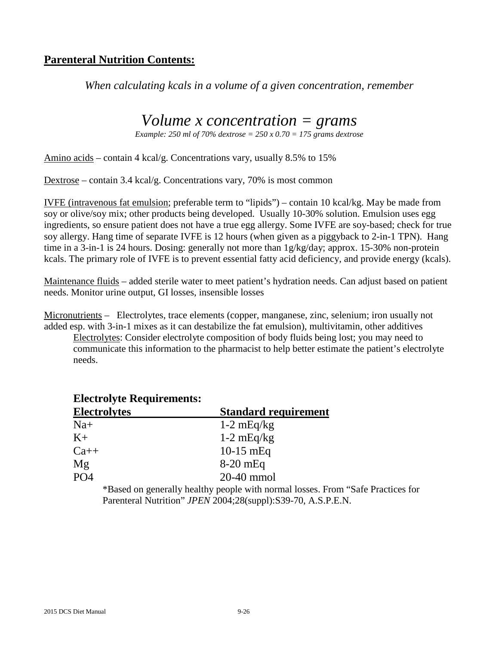# **Parenteral Nutrition Contents:**

*When calculating kcals in a volume of a given concentration, remember*

# *Volume x concentration = grams*

*Example: 250 ml of 70% dextrose = 250 x 0.70 = 175 grams dextrose*

Amino acids – contain 4 kcal/g. Concentrations vary, usually 8.5% to 15%

Dextrose – contain 3.4 kcal/g. Concentrations vary, 70% is most common

IVFE (intravenous fat emulsion; preferable term to "lipids") – contain 10 kcal/kg. May be made from soy or olive/soy mix; other products being developed. Usually 10-30% solution. Emulsion uses egg ingredients, so ensure patient does not have a true egg allergy. Some IVFE are soy-based; check for true soy allergy. Hang time of separate IVFE is 12 hours (when given as a piggyback to 2-in-1 TPN). Hang time in a 3-in-1 is 24 hours. Dosing: generally not more than 1g/kg/day; approx. 15-30% non-protein kcals. The primary role of IVFE is to prevent essential fatty acid deficiency, and provide energy (kcals).

Maintenance fluids – added sterile water to meet patient's hydration needs. Can adjust based on patient needs. Monitor urine output, GI losses, insensible losses

Micronutrients – Electrolytes, trace elements (copper, manganese, zinc, selenium; iron usually not added esp. with 3-in-1 mixes as it can destabilize the fat emulsion), multivitamin, other additives Electrolytes: Consider electrolyte composition of body fluids being lost; you may need to

communicate this information to the pharmacist to help better estimate the patient's electrolyte needs.

| <b>Electrolyte Requirements:</b> |                             |
|----------------------------------|-----------------------------|
| <b>Electrolytes</b>              | <b>Standard requirement</b> |
| $Na+$                            | $1-2$ mEq/kg                |
| $K+$                             | $1-2$ mEq/kg                |
| $Ca++$                           | $10-15$ mEq                 |
| Mg                               | $8-20$ mEq                  |
| PO4                              | $20-40$ mmol                |

\*Based on generally healthy people with normal losses. From "Safe Practices for Parenteral Nutrition" *JPEN* 2004;28(suppl):S39-70, A.S.P.E.N.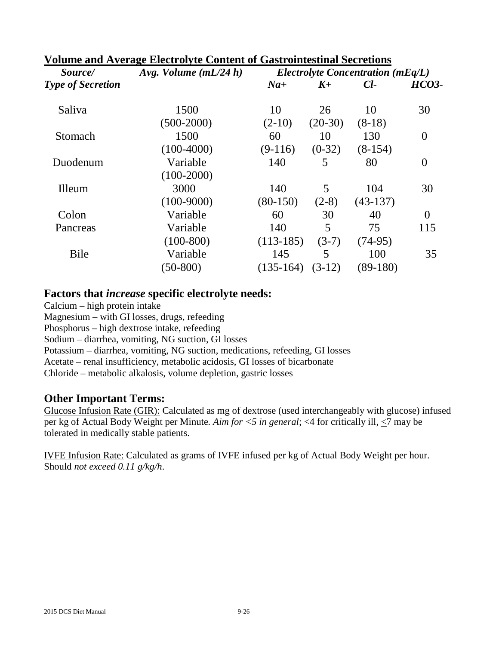| Volume and Average Electrolyte Content of Gastrointestinal Secretions |                         |                                       |           |            |              |
|-----------------------------------------------------------------------|-------------------------|---------------------------------------|-----------|------------|--------------|
| Source/                                                               | Avg. Volume $(mL/24 h)$ | Electrolyte Concentration ( $mEq/L$ ) |           |            |              |
| <b>Type of Secretion</b>                                              |                         | $Na+$                                 | $K_{\pm}$ | $Cl-$      | <b>HCO3-</b> |
| Saliva                                                                | 1500                    | 10                                    | 26        | 10         | 30           |
|                                                                       | $(500-2000)$            | $(2-10)$                              | $(20-30)$ | $(8-18)$   |              |
| Stomach                                                               | 1500                    | 60                                    | 10        | 130        | $\theta$     |
|                                                                       | $(100-4000)$            | $(9-116)$                             | $(0-32)$  | $(8-154)$  |              |
| Duodenum                                                              | Variable                | 140                                   | 5         | 80         | $\theta$     |
|                                                                       | $(100-2000)$            |                                       |           |            |              |
| Illeum                                                                | 3000                    | 140                                   | 5         | 104        | 30           |
|                                                                       | $(100-9000)$            | $(80-150)$                            | $(2-8)$   | $(43-137)$ |              |
| Colon                                                                 | Variable                | 60                                    | 30        | 40         | $\theta$     |
| Pancreas                                                              | Variable                | 140                                   | 5         | 75         | 115          |
|                                                                       | $(100-800)$             | $(113-185)$                           | $(3-7)$   | $(74-95)$  |              |
| Bile                                                                  | Variable                | 145                                   | 5         | 100        | 35           |
|                                                                       | $(50-800)$              | $(135-164)$                           | $(3-12)$  | $(89-180)$ |              |
|                                                                       |                         |                                       |           |            |              |

## **Volume and Average Electrolyte Content of Gastrointestinal Secretions**

#### **Factors that** *increase* **specific electrolyte needs:**

Calcium – high protein intake Magnesium – with GI losses, drugs, refeeding Phosphorus – high dextrose intake, refeeding Sodium – diarrhea, vomiting, NG suction, GI losses Potassium – diarrhea, vomiting, NG suction, medications, refeeding, GI losses Acetate – renal insufficiency, metabolic acidosis, GI losses of bicarbonate Chloride – metabolic alkalosis, volume depletion, gastric losses

## **Other Important Terms:**

Glucose Infusion Rate (GIR): Calculated as mg of dextrose (used interchangeably with glucose) infused per kg of Actual Body Weight per Minute*. Aim for <5 in general*; <4 for critically ill, <7 may be tolerated in medically stable patients.

IVFE Infusion Rate: Calculated as grams of IVFE infused per kg of Actual Body Weight per hour. Should *not exceed 0.11 g/kg/h*.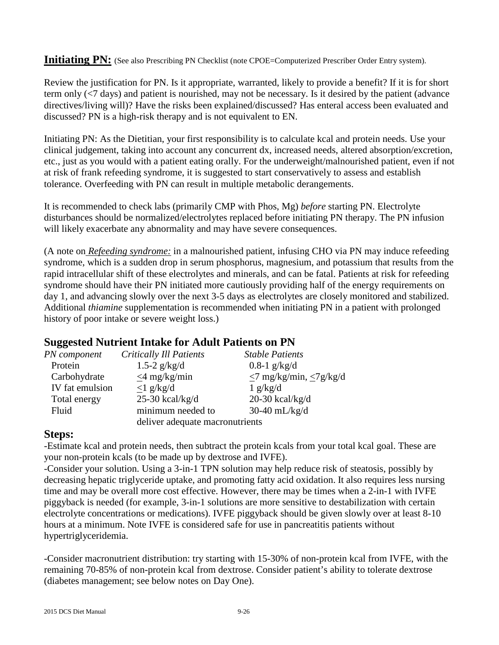#### **Initiating PN:** (See also Prescribing PN Checklist (note CPOE=Computerized Prescriber Order Entry system).

Review the justification for PN. Is it appropriate, warranted, likely to provide a benefit? If it is for short term only (<7 days) and patient is nourished, may not be necessary. Is it desired by the patient (advance directives/living will)? Have the risks been explained/discussed? Has enteral access been evaluated and discussed? PN is a high-risk therapy and is not equivalent to EN.

Initiating PN: As the Dietitian, your first responsibility is to calculate kcal and protein needs. Use your clinical judgement, taking into account any concurrent dx, increased needs, altered absorption/excretion, etc., just as you would with a patient eating orally. For the underweight/malnourished patient, even if not at risk of frank refeeding syndrome, it is suggested to start conservatively to assess and establish tolerance. Overfeeding with PN can result in multiple metabolic derangements.

It is recommended to check labs (primarily CMP with Phos, Mg) *before* starting PN. Electrolyte disturbances should be normalized/electrolytes replaced before initiating PN therapy. The PN infusion will likely exacerbate any abnormality and may have severe consequences.

(A note on *Refeeding syndrome:* in a malnourished patient, infusing CHO via PN may induce refeeding syndrome, which is a sudden drop in serum phosphorus, magnesium, and potassium that results from the rapid intracellular shift of these electrolytes and minerals, and can be fatal. Patients at risk for refeeding syndrome should have their PN initiated more cautiously providing half of the energy requirements on day 1, and advancing slowly over the next 3-5 days as electrolytes are closely monitored and stabilized. Additional *thiamine* supplementation is recommended when initiating PN in a patient with prolonged history of poor intake or severe weight loss.)

## **Suggested Nutrient Intake for Adult Patients on PN**

|                                    | <b>Stable Patients</b>             |  |  |
|------------------------------------|------------------------------------|--|--|
| 1.5-2 $g/kg/d$                     | $0.8-1$ g/kg/d                     |  |  |
| $\leq$ 4 mg/kg/min                 | $\leq$ 7 mg/kg/min, $\leq$ 7g/kg/d |  |  |
| $\langle 1 \text{ g/kg}/d \rangle$ | 1 g/kg/d                           |  |  |
| $25-30$ kcal/kg/d                  | 20-30 kcal/kg/d                    |  |  |
| minimum needed to                  | $30-40$ mL/kg/d                    |  |  |
| deliver adequate macronutrients    |                                    |  |  |
|                                    | <b>Critically Ill Patients</b>     |  |  |

## **Steps:**

-Estimate kcal and protein needs, then subtract the protein kcals from your total kcal goal. These are your non-protein kcals (to be made up by dextrose and IVFE).

-Consider your solution. Using a 3-in-1 TPN solution may help reduce risk of steatosis, possibly by decreasing hepatic triglyceride uptake, and promoting fatty acid oxidation. It also requires less nursing time and may be overall more cost effective. However, there may be times when a 2-in-1 with IVFE piggyback is needed (for example, 3-in-1 solutions are more sensitive to destabilization with certain electrolyte concentrations or medications). IVFE piggyback should be given slowly over at least 8-10 hours at a minimum. Note IVFE is considered safe for use in pancreatitis patients without hypertriglyceridemia.

-Consider macronutrient distribution: try starting with 15-30% of non-protein kcal from IVFE, with the remaining 70-85% of non-protein kcal from dextrose. Consider patient's ability to tolerate dextrose (diabetes management; see below notes on Day One).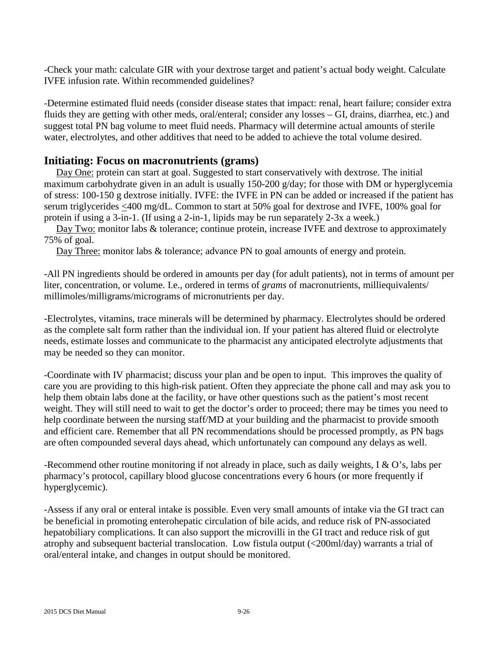-Check your math: calculate GIR with your dextrose target and patient's actual body weight. Calculate IVFE infusion rate. Within recommended guidelines?

-Determine estimated fluid needs (consider disease states that impact: renal, heart failure; consider extra fluids they are getting with other meds, oral/enteral; consider any losses – GI, drains, diarrhea, etc.) and suggest total PN bag volume to meet fluid needs. Pharmacy will determine actual amounts of sterile water, electrolytes, and other additives that need to be added to achieve the total volume desired.

## **Initiating: Focus on macronutrients (grams)**

Day One: protein can start at goal. Suggested to start conservatively with dextrose. The initial maximum carbohydrate given in an adult is usually 150-200 g/day; for those with DM or hyperglycemia of stress: 100-150 g dextrose initially. IVFE: the IVFE in PN can be added or increased if the patient has serum triglycerides <400 mg/dL. Common to start at 50% goal for dextrose and IVFE, 100% goal for protein if using a 3-in-1. (If using a 2-in-1, lipids may be run separately 2-3x a week.)

Day Two: monitor labs & tolerance; continue protein, increase IVFE and dextrose to approximately 75% of goal.

Day Three: monitor labs & tolerance; advance PN to goal amounts of energy and protein.

-All PN ingredients should be ordered in amounts per day (for adult patients), not in terms of amount per liter, concentration, or volume. I.e., ordered in terms of *grams* of macronutrients, milliequivalents/ millimoles/milligrams/micrograms of micronutrients per day.

-Electrolytes, vitamins, trace minerals will be determined by pharmacy. Electrolytes should be ordered as the complete salt form rather than the individual ion. If your patient has altered fluid or electrolyte needs, estimate losses and communicate to the pharmacist any anticipated electrolyte adjustments that may be needed so they can monitor.

-Coordinate with IV pharmacist; discuss your plan and be open to input. This improves the quality of care you are providing to this high-risk patient. Often they appreciate the phone call and may ask you to help them obtain labs done at the facility, or have other questions such as the patient's most recent weight. They will still need to wait to get the doctor's order to proceed; there may be times you need to help coordinate between the nursing staff/MD at your building and the pharmacist to provide smooth and efficient care. Remember that all PN recommendations should be processed promptly, as PN bags are often compounded several days ahead, which unfortunately can compound any delays as well.

-Recommend other routine monitoring if not already in place, such as daily weights, I & O's, labs per pharmacy's protocol, capillary blood glucose concentrations every 6 hours (or more frequently if hyperglycemic).

-Assess if any oral or enteral intake is possible. Even very small amounts of intake via the GI tract can be beneficial in promoting enterohepatic circulation of bile acids, and reduce risk of PN-associated hepatobiliary complications. It can also support the microvilli in the GI tract and reduce risk of gut atrophy and subsequent bacterial translocation. Low fistula output (<200ml/day) warrants a trial of oral/enteral intake, and changes in output should be monitored.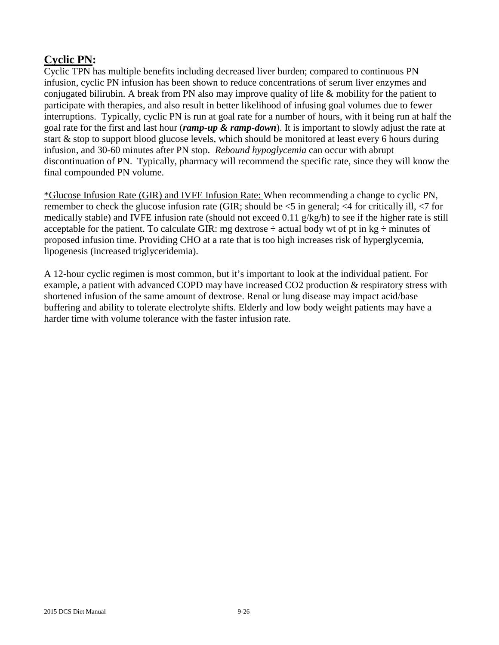# **Cyclic PN:**

Cyclic TPN has multiple benefits including decreased liver burden; compared to continuous PN infusion, cyclic PN infusion has been shown to reduce concentrations of serum liver enzymes and conjugated bilirubin. A break from PN also may improve quality of life & mobility for the patient to participate with therapies, and also result in better likelihood of infusing goal volumes due to fewer interruptions. Typically, cyclic PN is run at goal rate for a number of hours, with it being run at half the goal rate for the first and last hour (*ramp-up & ramp-down*). It is important to slowly adjust the rate at start & stop to support blood glucose levels, which should be monitored at least every 6 hours during infusion, and 30-60 minutes after PN stop. *Rebound hypoglycemia* can occur with abrupt discontinuation of PN. Typically, pharmacy will recommend the specific rate, since they will know the final compounded PN volume.

\*Glucose Infusion Rate (GIR) and IVFE Infusion Rate: When recommending a change to cyclic PN, remember to check the glucose infusion rate (GIR; should be  $\leq$  5 in general;  $\leq$  4 for critically ill,  $\leq$  7 for medically stable) and IVFE infusion rate (should not exceed 0.11 g/kg/h) to see if the higher rate is still acceptable for the patient. To calculate GIR: mg dextrose  $\div$  actual body wt of pt in kg  $\div$  minutes of proposed infusion time. Providing CHO at a rate that is too high increases risk of hyperglycemia, lipogenesis (increased triglyceridemia).

A 12-hour cyclic regimen is most common, but it's important to look at the individual patient. For example, a patient with advanced COPD may have increased CO2 production & respiratory stress with shortened infusion of the same amount of dextrose. Renal or lung disease may impact acid/base buffering and ability to tolerate electrolyte shifts. Elderly and low body weight patients may have a harder time with volume tolerance with the faster infusion rate.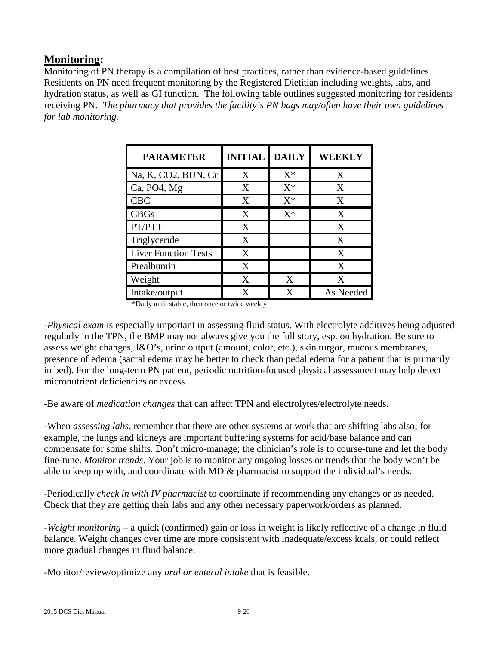# **Monitoring:**

Monitoring of PN therapy is a compilation of best practices, rather than evidence-based guidelines. Residents on PN need frequent monitoring by the Registered Dietitian including weights, labs, and hydration status, as well as GI function. The following table outlines suggested monitoring for residents receiving PN. *The pharmacy that provides the facility's PN bags may/often have their own guidelines for lab monitoring.* 

| <b>PARAMETER</b>            | <b>INITIAL</b> | <b>DAILY</b> | WEEKLY    |
|-----------------------------|----------------|--------------|-----------|
| Na, K, CO2, BUN, Cr         | X              | $X^*$        | X         |
| Ca, PO4, Mg                 | X              | $X^*$        | X         |
| <b>CBC</b>                  | X              | $X^*$        | X         |
| <b>CBGs</b>                 | X              | $X^*$        | X         |
| PT/PTT                      | X              |              | X         |
| Triglyceride                | X              |              | X         |
| <b>Liver Function Tests</b> | X              |              | X         |
| Prealbumin                  | X              |              | X         |
| Weight                      | X              | X            | X         |
| Intake/output               | X              | X            | As Needed |

\*Daily until stable, then once or twice weekly

*-Physical exam* is especially important in assessing fluid status. With electrolyte additives being adjusted regularly in the TPN, the BMP may not always give you the full story, esp. on hydration. Be sure to assess weight changes, I&O's, urine output (amount, color, etc.), skin turgor, mucous membranes, presence of edema (sacral edema may be better to check than pedal edema for a patient that is primarily in bed). For the long-term PN patient, periodic nutrition-focused physical assessment may help detect micronutrient deficiencies or excess.

-Be aware of *medication changes* that can affect TPN and electrolytes/electrolyte needs.

-When *assessing labs*, remember that there are other systems at work that are shifting labs also; for example, the lungs and kidneys are important buffering systems for acid/base balance and can compensate for some shifts. Don't micro-manage; the clinician's role is to course-tune and let the body fine-tune. *Monitor trends*. Your job is to monitor any ongoing losses or trends that the body won't be able to keep up with, and coordinate with MD & pharmacist to support the individual's needs.

-Periodically *check in with IV pharmacist* to coordinate if recommending any changes or as needed. Check that they are getting their labs and any other necessary paperwork/orders as planned.

*-Weight monitoring* – a quick (confirmed) gain or loss in weight is likely reflective of a change in fluid balance. Weight changes over time are more consistent with inadequate/excess kcals, or could reflect more gradual changes in fluid balance.

-Monitor/review/optimize any *oral or enteral intake* that is feasible.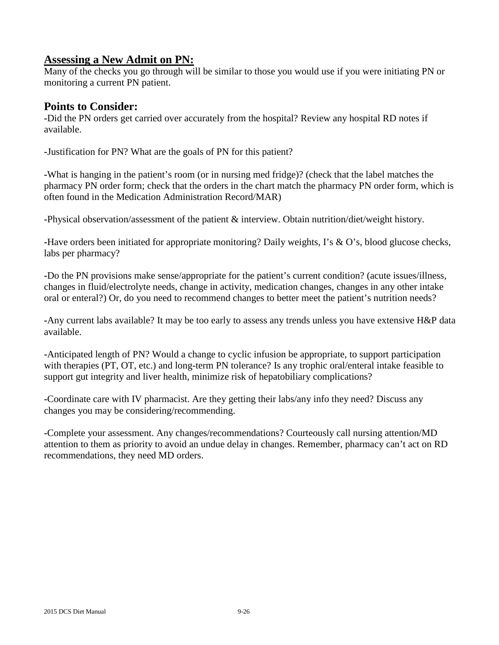## **Assessing a New Admit on PN:**

Many of the checks you go through will be similar to those you would use if you were initiating PN or monitoring a current PN patient.

#### **Points to Consider:**

**-**Did the PN orders get carried over accurately from the hospital? Review any hospital RD notes if available.

**-**Justification for PN? What are the goals of PN for this patient?

**-**What is hanging in the patient's room (or in nursing med fridge)? (check that the label matches the pharmacy PN order form; check that the orders in the chart match the pharmacy PN order form, which is often found in the Medication Administration Record/MAR)

**-**Physical observation/assessment of the patient & interview. Obtain nutrition/diet/weight history.

**-**Have orders been initiated for appropriate monitoring? Daily weights, I's & O's, blood glucose checks, labs per pharmacy?

**-**Do the PN provisions make sense/appropriate for the patient's current condition? (acute issues/illness, changes in fluid/electrolyte needs, change in activity, medication changes, changes in any other intake oral or enteral?) Or, do you need to recommend changes to better meet the patient's nutrition needs?

**-**Any current labs available? It may be too early to assess any trends unless you have extensive H&P data available.

**-**Anticipated length of PN? Would a change to cyclic infusion be appropriate, to support participation with therapies (PT, OT, etc.) and long-term PN tolerance? Is any trophic oral/enteral intake feasible to support gut integrity and liver health, minimize risk of hepatobiliary complications?

**-**Coordinate care with IV pharmacist. Are they getting their labs/any info they need? Discuss any changes you may be considering/recommending.

**-**Complete your assessment. Any changes/recommendations? Courteously call nursing attention/MD attention to them as priority to avoid an undue delay in changes. Remember, pharmacy can't act on RD recommendations, they need MD orders.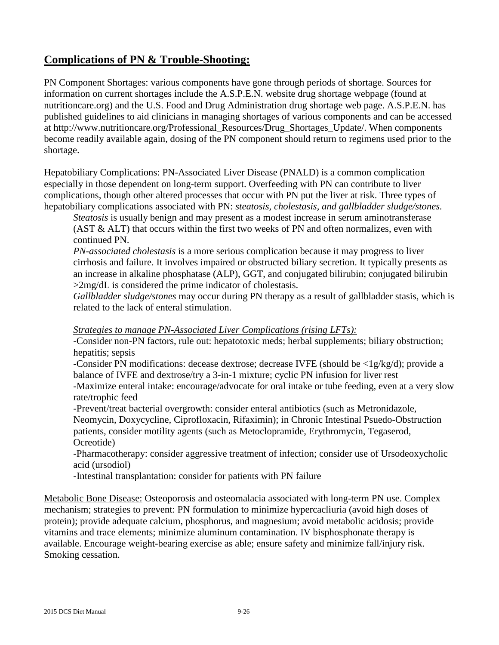# **Complications of PN & Trouble-Shooting:**

PN Component Shortages: various components have gone through periods of shortage. Sources for information on current shortages include the A.S.P.E.N. website drug shortage webpage (found at nutritioncare.org) and the U.S. Food and Drug Administration drug shortage web page. A.S.P.E.N. has published guidelines to aid clinicians in managing shortages of various components and can be accessed at http://www.nutritioncare.org/Professional\_Resources/Drug\_Shortages\_Update/. When components become readily available again, dosing of the PN component should return to regimens used prior to the shortage.

Hepatobiliary Complications: PN-Associated Liver Disease (PNALD) is a common complication especially in those dependent on long-term support. Overfeeding with PN can contribute to liver complications, though other altered processes that occur with PN put the liver at risk. Three types of hepatobiliary complications associated with PN: *steatosis, cholestasis, and gallbladder sludge/stones.*

*Steatosis* is usually benign and may present as a modest increase in serum aminotransferase (AST & ALT) that occurs within the first two weeks of PN and often normalizes, even with continued PN.

*PN-associated cholestasis* is a more serious complication because it may progress to liver cirrhosis and failure. It involves impaired or obstructed biliary secretion. It typically presents as an increase in alkaline phosphatase (ALP), GGT, and conjugated bilirubin; conjugated bilirubin >2mg/dL is considered the prime indicator of cholestasis.

*Gallbladder sludge/stones* may occur during PN therapy as a result of gallbladder stasis, which is related to the lack of enteral stimulation.

#### *Strategies to manage PN-Associated Liver Complications (rising LFTs):*

-Consider non-PN factors, rule out: hepatotoxic meds; herbal supplements; biliary obstruction; hepatitis; sepsis

-Consider PN modifications: decease dextrose; decrease IVFE (should be  $\langle 1g/kg/d \rangle$ ; provide a balance of IVFE and dextrose/try a 3-in-1 mixture; cyclic PN infusion for liver rest

-Maximize enteral intake: encourage/advocate for oral intake or tube feeding, even at a very slow rate/trophic feed

-Prevent/treat bacterial overgrowth: consider enteral antibiotics (such as Metronidazole, Neomycin, Doxycycline, Ciprofloxacin, Rifaximin); in Chronic Intestinal Psuedo-Obstruction patients, consider motility agents (such as Metoclopramide, Erythromycin, Tegaserod, Ocreotide)

-Pharmacotherapy: consider aggressive treatment of infection; consider use of Ursodeoxycholic acid (ursodiol)

-Intestinal transplantation: consider for patients with PN failure

Metabolic Bone Disease: Osteoporosis and osteomalacia associated with long-term PN use. Complex mechanism; strategies to prevent: PN formulation to minimize hypercacliuria (avoid high doses of protein); provide adequate calcium, phosphorus, and magnesium; avoid metabolic acidosis; provide vitamins and trace elements; minimize aluminum contamination. IV bisphosphonate therapy is available. Encourage weight-bearing exercise as able; ensure safety and minimize fall/injury risk. Smoking cessation.